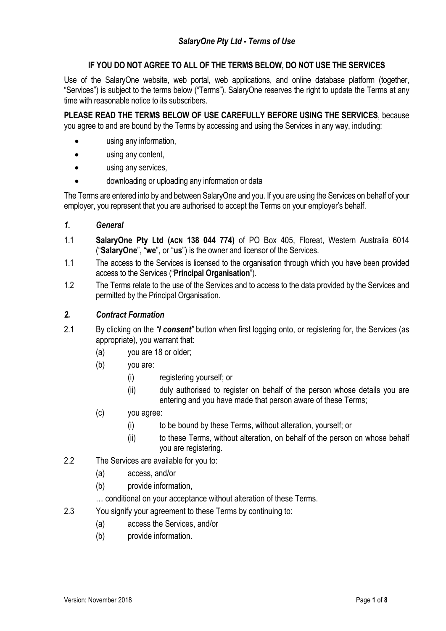# **IF YOU DO NOT AGREE TO ALL OF THE TERMS BELOW, DO NOT USE THE SERVICES**

Use of the SalaryOne website, web portal, web applications, and online database platform (together, "Services") is subject to the terms below ("Terms"). SalaryOne reserves the right to update the Terms at any time with reasonable notice to its subscribers.

**PLEASE READ THE TERMS BELOW OF USE CAREFULLY BEFORE USING THE SERVICES**, because you agree to and are bound by the Terms by accessing and using the Services in any way, including:

- using any information,
- using any content,
- using any services,
- downloading or uploading any information or data

The Terms are entered into by and between SalaryOne and you. If you are using the Services on behalf of your employer, you represent that you are authorised to accept the Terms on your employer's behalf.

- *1. General*
- 1.1 **SalaryOne Pty Ltd (ACN 138 044 774)** of PO Box 405, Floreat, Western Australia 6014 ("**SalaryOne**", "**we**", or "**us**") is the owner and licensor of the Services.
- 1.1 The access to the Services is licensed to the organisation through which you have been provided access to the Services ("**Principal Organisation**").
- 1.2 The Terms relate to the use of the Services and to access to the data provided by the Services and permitted by the Principal Organisation.

### *2. Contract Formation*

- 2.1 By clicking on the *"I consent"* button when first logging onto, or registering for, the Services (as appropriate), you warrant that:
	- (a) you are 18 or older;
	- (b) you are:
		- (i) registering yourself; or
		- (ii) duly authorised to register on behalf of the person whose details you are entering and you have made that person aware of these Terms;
	- (c) you agree:
		- (i) to be bound by these Terms, without alteration, yourself; or
		- (ii) to these Terms, without alteration, on behalf of the person on whose behalf you are registering.
- 2.2 The Services are available for you to:
	- (a) access, and/or
	- (b) provide information,
	- … conditional on your acceptance without alteration of these Terms.
- 2.3 You signify your agreement to these Terms by continuing to:
	- (a) access the Services, and/or
	- (b) provide information.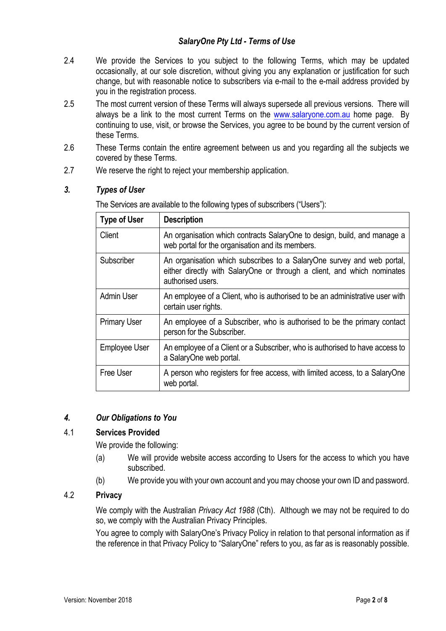## *SalaryOne Pty Ltd - Terms of Use*

- 2.4 We provide the Services to you subject to the following Terms, which may be updated occasionally, at our sole discretion, without giving you any explanation or justification for such change, but with reasonable notice to subscribers via e-mail to the e-mail address provided by you in the registration process.
- 2.5 The most current version of these Terms will always supersede all previous versions. There will always be a link to the most current Terms on the www.salaryone.com.au home page. By continuing to use, visit, or browse the Services, you agree to be bound by the current version of these Terms.
- 2.6 These Terms contain the entire agreement between us and you regarding all the subjects we covered by these Terms.
- 2.7 We reserve the right to reject your membership application.

## *3. Types of User*

| <b>Type of User</b> | <b>Description</b>                                                                                                                                                     |
|---------------------|------------------------------------------------------------------------------------------------------------------------------------------------------------------------|
| Client              | An organisation which contracts SalaryOne to design, build, and manage a<br>web portal for the organisation and its members.                                           |
| Subscriber          | An organisation which subscribes to a SalaryOne survey and web portal,<br>either directly with SalaryOne or through a client, and which nominates<br>authorised users. |
| <b>Admin User</b>   | An employee of a Client, who is authorised to be an administrative user with<br>certain user rights.                                                                   |
| <b>Primary User</b> | An employee of a Subscriber, who is authorised to be the primary contact<br>person for the Subscriber.                                                                 |
| Employee User       | An employee of a Client or a Subscriber, who is authorised to have access to<br>a SalaryOne web portal.                                                                |
| Free User           | A person who registers for free access, with limited access, to a SalaryOne<br>web portal.                                                                             |

The Services are available to the following types of subscribers ("Users"):

## *4. Our Obligations to You*

### 4.1 **Services Provided**

We provide the following:

- (a) We will provide website access according to Users for the access to which you have subscribed.
- (b) We provide you with your own account and you may choose your own ID and password.

## 4.2 **Privacy**

We comply with the Australian *Privacy Act 1988* (Cth). Although we may not be required to do so, we comply with the Australian Privacy Principles.

You agree to comply with SalaryOne's Privacy Policy in relation to that personal information as if the reference in that Privacy Policy to "SalaryOne" refers to you, as far as is reasonably possible.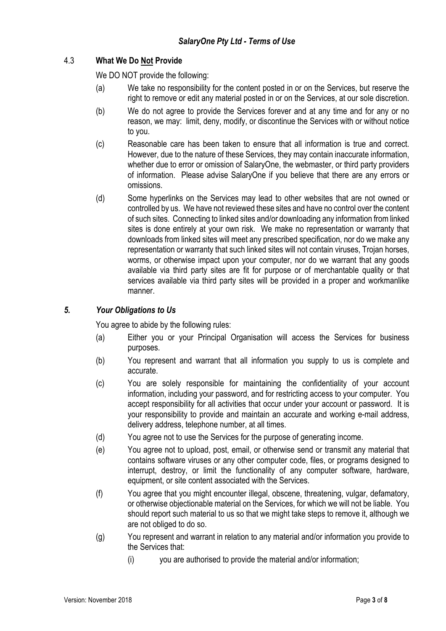# 4.3 **What We Do Not Provide**

We DO NOT provide the following:

- (a) We take no responsibility for the content posted in or on the Services, but reserve the right to remove or edit any material posted in or on the Services, at our sole discretion.
- (b) We do not agree to provide the Services forever and at any time and for any or no reason, we may: limit, deny, modify, or discontinue the Services with or without notice to you.
- (c) Reasonable care has been taken to ensure that all information is true and correct. However, due to the nature of these Services, they may contain inaccurate information, whether due to error or omission of SalaryOne, the webmaster, or third party providers of information. Please advise SalaryOne if you believe that there are any errors or omissions.
- (d) Some hyperlinks on the Services may lead to other websites that are not owned or controlled by us. We have not reviewed these sites and have no control over the content of such sites. Connecting to linked sites and/or downloading any information from linked sites is done entirely at your own risk. We make no representation or warranty that downloads from linked sites will meet any prescribed specification, nor do we make any representation or warranty that such linked sites will not contain viruses, Trojan horses, worms, or otherwise impact upon your computer, nor do we warrant that any goods available via third party sites are fit for purpose or of merchantable quality or that services available via third party sites will be provided in a proper and workmanlike manner.

# *5. Your Obligations to Us*

You agree to abide by the following rules:

- (a) Either you or your Principal Organisation will access the Services for business purposes.
- (b) You represent and warrant that all information you supply to us is complete and accurate.
- (c) You are solely responsible for maintaining the confidentiality of your account information, including your password, and for restricting access to your computer. You accept responsibility for all activities that occur under your account or password. It is your responsibility to provide and maintain an accurate and working e-mail address, delivery address, telephone number, at all times.
- (d) You agree not to use the Services for the purpose of generating income.
- (e) You agree not to upload, post, email, or otherwise send or transmit any material that contains software viruses or any other computer code, files, or programs designed to interrupt, destroy, or limit the functionality of any computer software, hardware, equipment, or site content associated with the Services.
- (f) You agree that you might encounter illegal, obscene, threatening, vulgar, defamatory, or otherwise objectionable material on the Services, for which we will not be liable. You should report such material to us so that we might take steps to remove it, although we are not obliged to do so.
- (g) You represent and warrant in relation to any material and/or information you provide to the Services that:
	- (i) you are authorised to provide the material and/or information;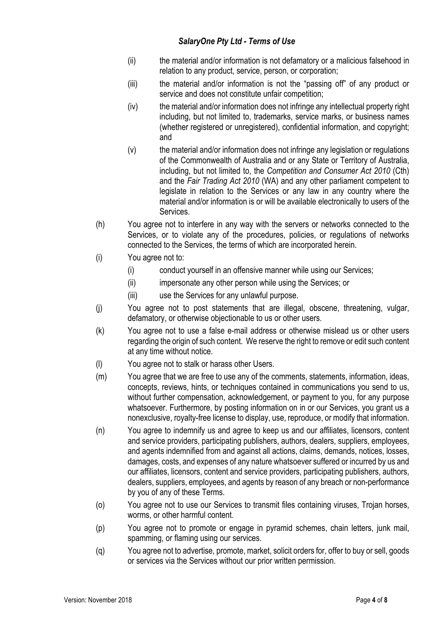## *SalaryOne Pty Ltd - Terms of Use*

- (ii) the material and/or information is not defamatory or a malicious falsehood in relation to any product, service, person, or corporation;
- (iii) the material and/or information is not the "passing off" of any product or service and does not constitute unfair competition;
- (iv) the material and/or information does not infringe any intellectual property right including, but not limited to, trademarks, service marks, or business names (whether registered or unregistered), confidential information, and copyright; and
- (v) the material and/or information does not infringe any legislation or regulations of the Commonwealth of Australia and or any State or Territory of Australia, including, but not limited to, the *Competition and Consumer Act 2010* (Cth) and the *Fair Trading Act 2010* (WA) and any other parliament competent to legislate in relation to the Services or any law in any country where the material and/or information is or will be available electronically to users of the Services.
- (h) You agree not to interfere in any way with the servers or networks connected to the Services, or to violate any of the procedures, policies, or regulations of networks connected to the Services, the terms of which are incorporated herein.
- (i) You agree not to:
	- (i) conduct yourself in an offensive manner while using our Services;
	- (ii) impersonate any other person while using the Services; or
	- (iii) use the Services for any unlawful purpose.
- (j) You agree not to post statements that are illegal, obscene, threatening, vulgar, defamatory, or otherwise objectionable to us or other users.
- (k) You agree not to use a false e-mail address or otherwise mislead us or other users regarding the origin of such content. We reserve the right to remove or edit such content at any time without notice.
- (l) You agree not to stalk or harass other Users.
- (m) You agree that we are free to use any of the comments, statements, information, ideas, concepts, reviews, hints, or techniques contained in communications you send to us, without further compensation, acknowledgement, or payment to you, for any purpose whatsoever. Furthermore, by posting information on in or our Services, you grant us a nonexclusive, royalty-free license to display, use, reproduce, or modify that information.
- (n) You agree to indemnify us and agree to keep us and our affiliates, licensors, content and service providers, participating publishers, authors, dealers, suppliers, employees, and agents indemnified from and against all actions, claims, demands, notices, losses, damages, costs, and expenses of any nature whatsoever suffered or incurred by us and our affiliates, licensors, content and service providers, participating publishers, authors, dealers, suppliers, employees, and agents by reason of any breach or non-performance by you of any of these Terms.
- (o) You agree not to use our Services to transmit files containing viruses, Trojan horses, worms, or other harmful content.
- (p) You agree not to promote or engage in pyramid schemes, chain letters, junk mail, spamming, or flaming using our services.
- (q) You agree not to advertise, promote, market, solicit orders for, offer to buy or sell, goods or services via the Services without our prior written permission.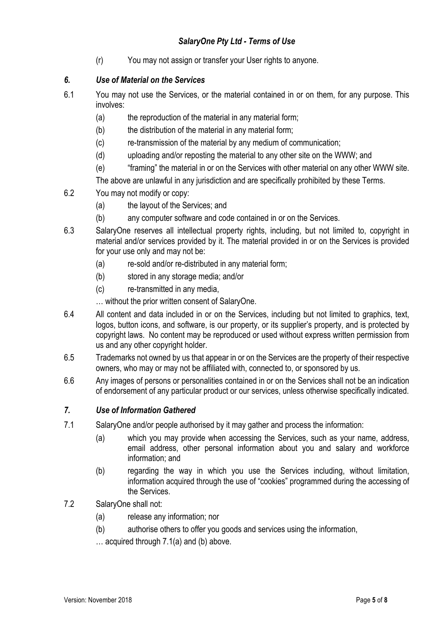(r) You may not assign or transfer your User rights to anyone.

# *6. Use of Material on the Services*

- 6.1 You may not use the Services, or the material contained in or on them, for any purpose. This involves:
	- (a) the reproduction of the material in any material form;
	- (b) the distribution of the material in any material form;
	- (c) re-transmission of the material by any medium of communication;
	- (d) uploading and/or reposting the material to any other site on the WWW; and
	- (e) "framing" the material in or on the Services with other material on any other WWW site.

The above are unlawful in any jurisdiction and are specifically prohibited by these Terms.

- 6.2 You may not modify or copy:
	- (a) the layout of the Services; and
	- (b) any computer software and code contained in or on the Services.
- 6.3 SalaryOne reserves all intellectual property rights, including, but not limited to, copyright in material and/or services provided by it. The material provided in or on the Services is provided for your use only and may not be:
	- (a) re-sold and/or re-distributed in any material form;
	- (b) stored in any storage media; and/or
	- (c) re-transmitted in any media,

… without the prior written consent of SalaryOne.

- 6.4 All content and data included in or on the Services, including but not limited to graphics, text, logos, button icons, and software, is our property, or its supplier's property, and is protected by copyright laws. No content may be reproduced or used without express written permission from us and any other copyright holder.
- 6.5 Trademarks not owned by us that appear in or on the Services are the property of their respective owners, who may or may not be affiliated with, connected to, or sponsored by us.
- 6.6 Any images of persons or personalities contained in or on the Services shall not be an indication of endorsement of any particular product or our services, unless otherwise specifically indicated.

## *7. Use of Information Gathered*

- 7.1 SalaryOne and/or people authorised by it may gather and process the information:
	- (a) which you may provide when accessing the Services, such as your name, address, email address, other personal information about you and salary and workforce information; and
	- (b) regarding the way in which you use the Services including, without limitation, information acquired through the use of "cookies" programmed during the accessing of the Services.
- 7.2 SalaryOne shall not:
	- (a) release any information; nor
	- (b) authorise others to offer you goods and services using the information,
	- … acquired through 7.1(a) and (b) above.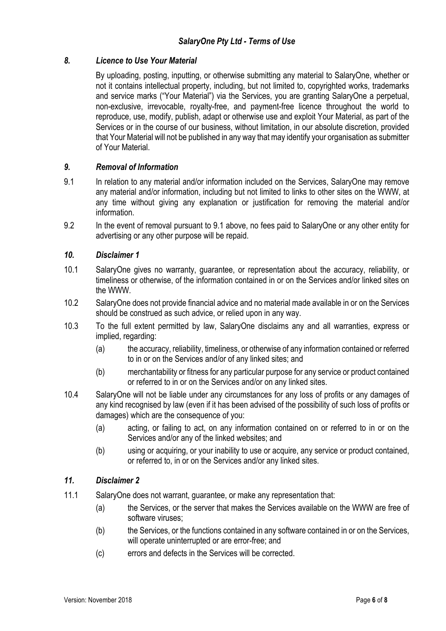# *8. Licence to Use Your Material*

By uploading, posting, inputting, or otherwise submitting any material to SalaryOne, whether or not it contains intellectual property, including, but not limited to, copyrighted works, trademarks and service marks ("Your Material") via the Services, you are granting SalaryOne a perpetual, non-exclusive, irrevocable, royalty-free, and payment-free licence throughout the world to reproduce, use, modify, publish, adapt or otherwise use and exploit Your Material, as part of the Services or in the course of our business, without limitation, in our absolute discretion, provided that Your Material will not be published in any way that may identify your organisation as submitter of Your Material.

## *9. Removal of Information*

- 9.1 In relation to any material and/or information included on the Services, SalaryOne may remove any material and/or information, including but not limited to links to other sites on the WWW, at any time without giving any explanation or justification for removing the material and/or information.
- 9.2 In the event of removal pursuant to 9.1 above, no fees paid to SalaryOne or any other entity for advertising or any other purpose will be repaid.

### *10. Disclaimer 1*

- 10.1 SalaryOne gives no warranty, guarantee, or representation about the accuracy, reliability, or timeliness or otherwise, of the information contained in or on the Services and/or linked sites on the WWW.
- 10.2 SalaryOne does not provide financial advice and no material made available in or on the Services should be construed as such advice, or relied upon in any way.
- 10.3 To the full extent permitted by law, SalaryOne disclaims any and all warranties, express or implied, regarding:
	- (a) the accuracy, reliability, timeliness, or otherwise of any information contained or referred to in or on the Services and/or of any linked sites; and
	- (b) merchantability or fitness for any particular purpose for any service or product contained or referred to in or on the Services and/or on any linked sites.
- 10.4 SalaryOne will not be liable under any circumstances for any loss of profits or any damages of any kind recognised by law (even if it has been advised of the possibility of such loss of profits or damages) which are the consequence of you:
	- (a) acting, or failing to act, on any information contained on or referred to in or on the Services and/or any of the linked websites; and
	- (b) using or acquiring, or your inability to use or acquire, any service or product contained, or referred to, in or on the Services and/or any linked sites.

## *11. Disclaimer 2*

- 11.1 SalaryOne does not warrant, guarantee, or make any representation that:
	- (a) the Services, or the server that makes the Services available on the WWW are free of software viruses:
	- (b) the Services, or the functions contained in any software contained in or on the Services, will operate uninterrupted or are error-free; and
	- (c) errors and defects in the Services will be corrected.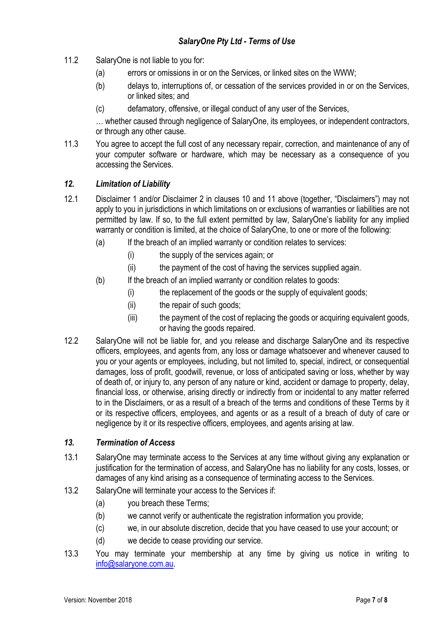- 11.2 SalaryOne is not liable to you for:
	- (a) errors or omissions in or on the Services, or linked sites on the WWW;
	- (b) delays to, interruptions of, or cessation of the services provided in or on the Services, or linked sites; and
	- (c) defamatory, offensive, or illegal conduct of any user of the Services,

… whether caused through negligence of SalaryOne, its employees, or independent contractors, or through any other cause.

11.3 You agree to accept the full cost of any necessary repair, correction, and maintenance of any of your computer software or hardware, which may be necessary as a consequence of you accessing the Services.

## *12. Limitation of Liability*

- 12.1 Disclaimer 1 and/or Disclaimer 2 in clauses 10 and 11 above (together, "Disclaimers") may not apply to you in jurisdictions in which limitations on or exclusions of warranties or liabilities are not permitted by law. If so, to the full extent permitted by law, SalaryOne's liability for any implied warranty or condition is limited, at the choice of SalaryOne, to one or more of the following:
	- (a) If the breach of an implied warranty or condition relates to services:
		- (i) the supply of the services again; or
		- (ii) the payment of the cost of having the services supplied again.
	- (b) If the breach of an implied warranty or condition relates to goods:
		- (i) the replacement of the goods or the supply of equivalent goods;
		- (ii) the repair of such goods;
		- (iii) the payment of the cost of replacing the goods or acquiring equivalent goods, or having the goods repaired.
- 12.2 SalaryOne will not be liable for, and you release and discharge SalaryOne and its respective officers, employees, and agents from, any loss or damage whatsoever and whenever caused to you or your agents or employees, including, but not limited to, special, indirect, or consequential damages, loss of profit, goodwill, revenue, or loss of anticipated saving or loss, whether by way of death of, or injury to, any person of any nature or kind, accident or damage to property, delay, financial loss, or otherwise, arising directly or indirectly from or incidental to any matter referred to in the Disclaimers, or as a result of a breach of the terms and conditions of these Terms by it or its respective officers, employees, and agents or as a result of a breach of duty of care or negligence by it or its respective officers, employees, and agents arising at law.

## *13. Termination of Access*

- 13.1 SalaryOne may terminate access to the Services at any time without giving any explanation or justification for the termination of access, and SalaryOne has no liability for any costs, losses, or damages of any kind arising as a consequence of terminating access to the Services.
- 13.2 SalaryOne will terminate your access to the Services if:
	- (a) you breach these Terms;
	- (b) we cannot verify or authenticate the registration information you provide;
	- (c) we, in our absolute discretion, decide that you have ceased to use your account; or
	- (d) we decide to cease providing our service.
- 13.3 You may terminate your membership at any time by giving us notice in writing to info@salaryone.com.au.